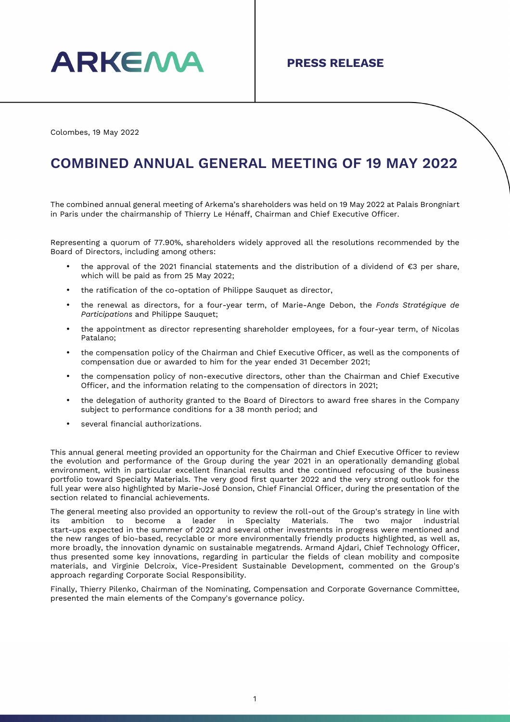

Colombes, 19 May 2022

## **COMBINED ANNUAL GENERAL MEETING OF 19 MAY 2022**

The combined annual general meeting of Arkema's shareholders was held on 19 May 2022 at Palais Brongniart in Paris under the chairmanship of Thierry Le Hénaff, Chairman and Chief Executive Officer.

Representing a quorum of 77.90%, shareholders widely approved all the resolutions recommended by the Board of Directors, including among others:

- the approval of the 2021 financial statements and the distribution of a dividend of €3 per share, which will be paid as from 25 May 2022;
- the ratification of the co-optation of Philippe Sauguet as director,
- the renewal as directors, for a four-year term, of Marie-Ange Debon, the *Fonds Stratégique de Participations* and Philippe Sauquet;
- the appointment as director representing shareholder employees, for a four-year term, of Nicolas Patalano;
- the compensation policy of the Chairman and Chief Executive Officer, as well as the components of compensation due or awarded to him for the year ended 31 December 2021;
- the compensation policy of non-executive directors, other than the Chairman and Chief Executive Officer, and the information relating to the compensation of directors in 2021;
- the delegation of authority granted to the Board of Directors to award free shares in the Company subject to performance conditions for a 38 month period; and
- several financial authorizations.

This annual general meeting provided an opportunity for the Chairman and Chief Executive Officer to review the evolution and performance of the Group during the year 2021 in an operationally demanding global environment, with in particular excellent financial results and the continued refocusing of the business portfolio toward Specialty Materials. The very good first quarter 2022 and the very strong outlook for the full year were also highlighted by Marie-José Donsion, Chief Financial Officer, during the presentation of the section related to financial achievements.

The general meeting also provided an opportunity to review the roll-out of the Group's strategy in line with its ambition to become a leader in Specialty Materials. The two major industrial start-ups expected in the summer of 2022 and several other investments in progress were mentioned and the new ranges of bio-based, recyclable or more environmentally friendly products highlighted, as well as, more broadly, the innovation dynamic on sustainable megatrends. Armand Ajdari, Chief Technology Officer, thus presented some key innovations, regarding in particular the fields of clean mobility and composite materials, and Virginie Delcroix, Vice-President Sustainable Development, commented on the Group's approach regarding Corporate Social Responsibility.

Finally, Thierry Pilenko, Chairman of the Nominating, Compensation and Corporate Governance Committee, presented the main elements of the Company's governance policy.